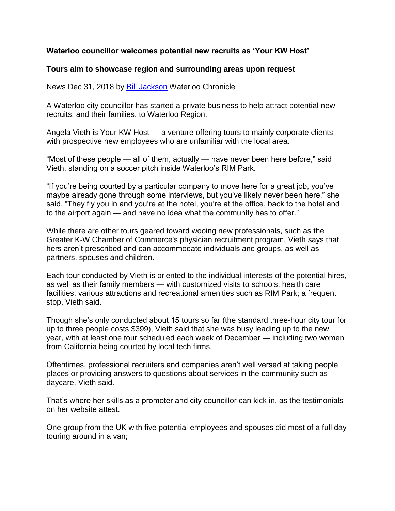## **Waterloo councillor welcomes potential new recruits as 'Your KW Host'**

## **Tours aim to showcase region and surrounding areas upon request**

News Dec 31, 2018 by [Bill Jackson](https://www.waterloochronicle.ca/waterloo-on-author/bill-jackson/4FF444C2-1FE3-4302-A8EB-27F835DD3917/) Waterloo Chronicle

A Waterloo city councillor has started a private business to help attract potential new recruits, and their families, to Waterloo Region.

Angela Vieth is Your KW Host — a venture offering tours to mainly corporate clients with prospective new employees who are unfamiliar with the local area.

"Most of these people — all of them, actually — have never been here before," said Vieth, standing on a soccer pitch inside Waterloo's RIM Park.

"If you're being courted by a particular company to move here for a great job, you've maybe already gone through some interviews, but you've likely never been here," she said. "They fly you in and you're at the hotel, you're at the office, back to the hotel and to the airport again — and have no idea what the community has to offer."

While there are other tours geared toward wooing new professionals, such as the Greater K-W Chamber of Commerce's physician recruitment program, Vieth says that hers aren't prescribed and can accommodate individuals and groups, as well as partners, spouses and children.

Each tour conducted by Vieth is oriented to the individual interests of the potential hires, as well as their family members — with customized visits to schools, health care facilities, various attractions and recreational amenities such as RIM Park; a frequent stop, Vieth said.

Though she's only conducted about 15 tours so far (the standard three-hour city tour for up to three people costs \$399), Vieth said that she was busy leading up to the new year, with at least one tour scheduled each week of December — including two women from California being courted by local tech firms.

Oftentimes, professional recruiters and companies aren't well versed at taking people places or providing answers to questions about services in the community such as daycare, Vieth said.

That's where her skills as a promoter and city councillor can kick in, as the testimonials on her website attest.

One group from the UK with five potential employees and spouses did most of a full day touring around in a van;